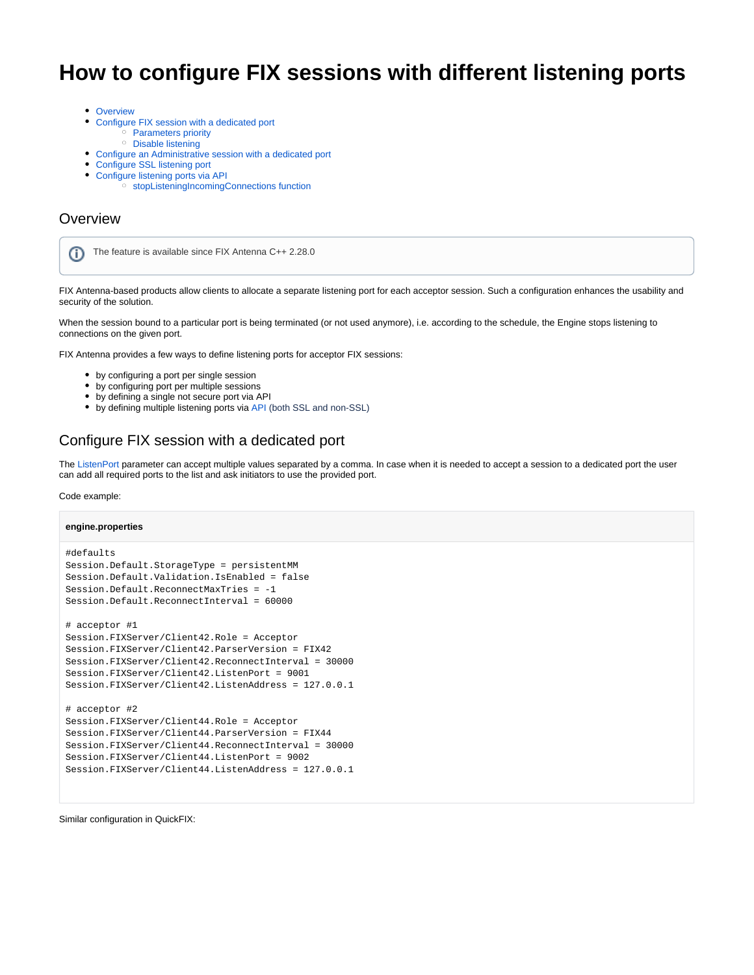# **How to configure FIX sessions with different listening ports**

- [Overview](#page-0-0)
- $\bullet$ [Configure FIX session with a dedicated port](#page-0-1)
	- <sup>o</sup> [Parameters priority](#page-1-0)
		- <sup>o</sup> [Disable listening](#page-1-1)
- [Configure an Administrative session with a dedicated port](#page-2-0)
- [Configure SSL listening port](#page-2-1)
- [Configure listening ports via API](#page-3-0)
	- $\circ$  [stopListeningIncomingConnections function](#page-3-1)

## <span id="page-0-0"></span>**Overview**

The feature is available since FIX Antenna C++ 2.28.0(i)

FIX Antenna-based products allow clients to allocate a separate listening port for each acceptor session. Such a configuration enhances the usability and security of the solution.

When the session bound to a particular port is being terminated (or not used anymore), i.e. according to the schedule, the Engine stops listening to connections on the given port.

FIX Antenna provides a few ways to define listening ports for acceptor FIX sessions:

- by configuring a port per single session
- by configuring port per multiple sessions
- by defining a single not secure port via API
- by defining multiple listening ports via [API](https://corp-web.b2bits.com/fixacpp/doc/html/structEngine_1_1SessionExtraParameters.html#aa631d06c074b5371b219949589c2bd75) (both SSL and non-SSL)

## <span id="page-0-1"></span>Configure FIX session with a dedicated port

The [ListenPort](https://kb.b2bits.com/display/B2BITS/FIX+Engine+parameters#FIXEngineparameters-ListenPort) parameter can accept multiple values separated by a comma. In case when it is needed to accept a session to a dedicated port the user can add all required ports to the list and ask initiators to use the provided port.

#### Code example:

#### **engine.properties**

#### #defaults

Session.Default.StorageType = persistentMM Session.Default.Validation.IsEnabled = false Session.Default.ReconnectMaxTries = -1 Session.Default.ReconnectInterval = 60000

## # acceptor #1

```
Session.FIXServer/Client42.Role = Acceptor
Session.FIXServer/Client42.ParserVersion = FIX42
Session.FIXServer/Client42.ReconnectInterval = 30000
Session.FIXServer/Client42.ListenPort = 9001
Session.FIXServer/Client42.ListenAddress = 127.0.0.1
```

```
# acceptor #2
Session.FIXServer/Client44.Role = Acceptor
Session.FIXServer/Client44.ParserVersion = FIX44
Session.FIXServer/Client44.ReconnectInterval = 30000
Session.FIXServer/Client44.ListenPort = 9002
Session.FIXServer/Client44.ListenAddress = 127.0.0.1
```
Similar configuration in QuickFIX: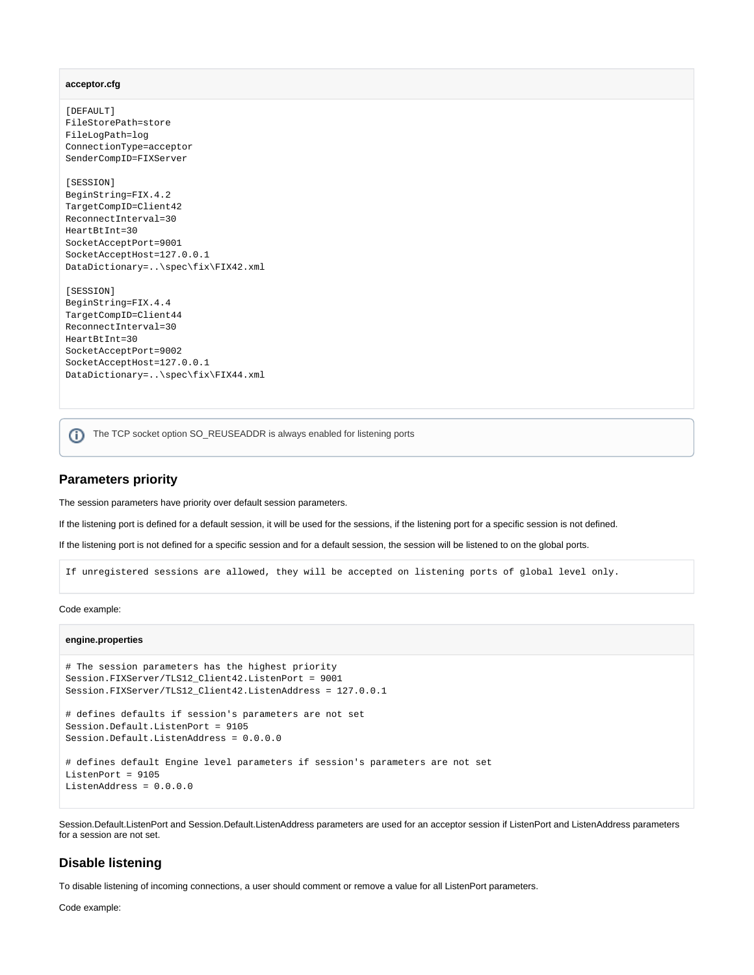#### **acceptor.cfg**

[DEFAULT] FileStorePath=store FileLogPath=log ConnectionType=acceptor SenderCompID=FIXServer

[SESSION] BeginString=FIX.4.2 TargetCompID=Client42 ReconnectInterval=30 HeartBtInt=30 SocketAcceptPort=9001 SocketAcceptHost=127.0.0.1 DataDictionary=..\spec\fix\FIX42.xml

[SESSION] BeginString=FIX.4.4 TargetCompID=Client44 ReconnectInterval=30 HeartBtInt=30 SocketAcceptPort=9002 SocketAcceptHost=127.0.0.1 DataDictionary=..\spec\fix\FIX44.xml

The TCP socket option SO\_REUSEADDR is always enabled for listening portsന

#### <span id="page-1-0"></span>**Parameters priority**

The session parameters have priority over default session parameters.

If the listening port is defined for a default session, it will be used for the sessions, if the listening port for a specific session is not defined.

If the listening port is not defined for a specific session and for a default session, the session will be listened to on the global ports.

If unregistered sessions are allowed, they will be accepted on listening ports of global level only.

Code example:

#### **engine.properties**

```
# The session parameters has the highest priority
Session.FIXServer/TLS12_Client42.ListenPort = 9001
Session.FIXServer/TLS12_Client42.ListenAddress = 127.0.0.1
# defines defaults if session's parameters are not set
Session.Default.ListenPort = 9105
Session.Default.ListenAddress = 0.0.0.0
# defines default Engine level parameters if session's parameters are not set
ListenPort = 9105
ListenAddress = 0.0.0.0
```
Session.Default.ListenPort and Session.Default.ListenAddress parameters are used for an acceptor session if ListenPort and ListenAddress parameters for a session are not set.

### <span id="page-1-1"></span>**Disable listening**

To disable listening of incoming connections, a user should comment or remove a value for all ListenPort parameters.

Code example: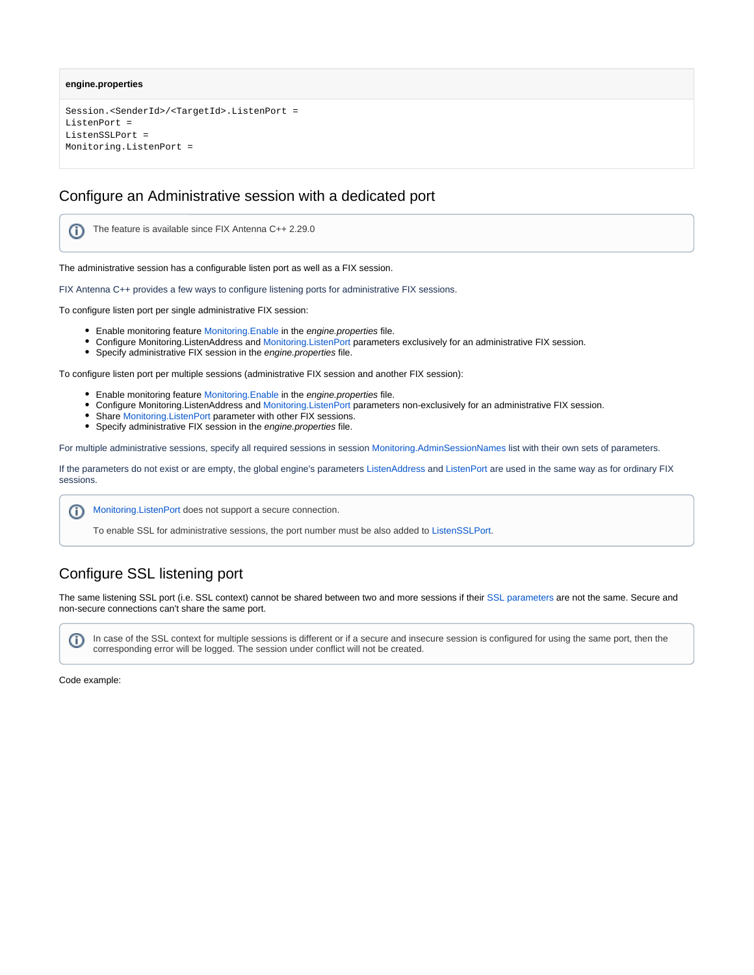#### **engine.properties**

ന

```
Session.<SenderId>/<TargetId>.ListenPort = 
ListenPort = 
ListenSSLPort =
Monitoring.ListenPort =
```
## <span id="page-2-0"></span>Configure an Administrative session with a dedicated port

The feature is available since FIX Antenna C++ 2.29.0

The administrative session has a configurable listen port as well as a FIX session.

FIX Antenna C++ provides a few ways to configure listening ports for administrative FIX sessions.

To configure listen port per single administrative FIX session:

- **Enable monitoring feature Monitoring. Enable in the engine.properties file.**
- **Configure Monitoring.ListenAddress and Monitoring.ListenPort parameters exclusively for an administrative FIX session.**
- **•** Specify administrative FIX session in the engine.properties file.

To configure listen port per multiple sessions (administrative FIX session and another FIX session):

- **Enable monitoring feature Monitoring.Enable in the engine.properties file.**
- Configure Monitoring.ListenAddress and Monitoring.ListenPort parameters non-exclusively for an administrative FIX session.
- $\bullet$ Share Monitoring.ListenPort parameter with other FIX sessions.
- Specify administrative FIX session in the engine.properties file.

For multiple administrative sessions, specify all required sessions in session [Monitoring.AdminSessionNames](https://kb.b2bits.com/display/B2BITS/FIX+Engine+parameters#FIXEngineparameters-Monitoring.AdminSessionNames) list with their own sets of parameters.

If the parameters do not exist or are empty, the global engine's parameters ListenAddress and ListenPort are used in the same way as for ordinary FIX sessions.

ത [Monitoring.ListenPort](https://kb.b2bits.com/display/B2BITS/FIX+Engine+parameters#FIXEngineparameters-Monitoring.ListenPort) does not support a secure connection.

To enable SSL for administrative sessions, the port number must be also added to [ListenSSLPort.](https://kb.b2bits.com/display/B2BITS/FIX+Engine+parameters#FIXEngineparameters-ListenSSLPort)

## <span id="page-2-1"></span>Configure SSL listening port

The same listening SSL port (i.e. SSL context) cannot be shared between two and more sessions if their [SSL parameters](https://kb.b2bits.com/display/B2BITS/FIX+Engine+parameters#FIXEngineparameters-SSLparameters) are not the same. Secure and non-secure connections can't share the same port.

In case of the SSL context for multiple sessions is different or if a secure and insecure session is configured for using the same port, then the corresponding error will be logged. The session under conflict will not be created.

Code example:

⋒